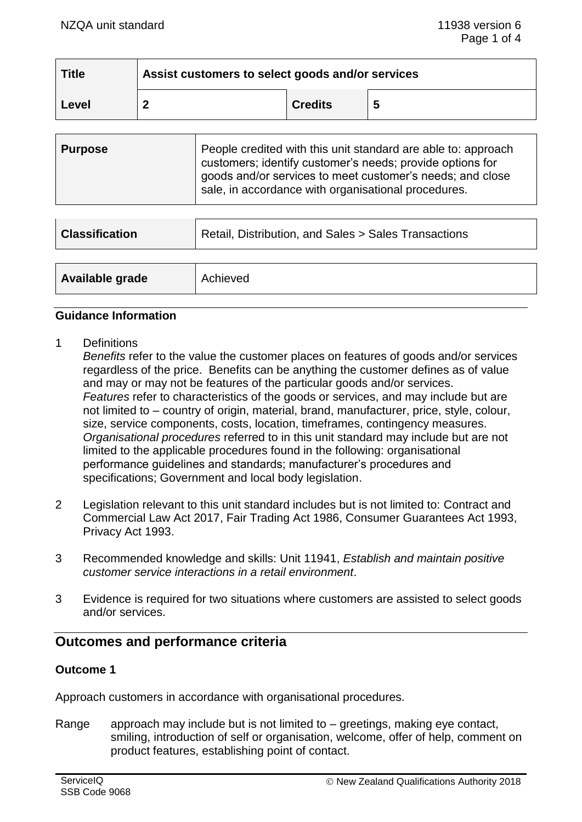| <b>Title</b> | Assist customers to select goods and/or services |                |   |
|--------------|--------------------------------------------------|----------------|---|
| ∣ Level      |                                                  | <b>Credits</b> | 5 |

| People credited with this unit standard are able to: approach<br><b>Purpose</b><br>customers; identify customer's needs; provide options for<br>goods and/or services to meet customer's needs; and close<br>sale, in accordance with organisational procedures. |  |
|------------------------------------------------------------------------------------------------------------------------------------------------------------------------------------------------------------------------------------------------------------------|--|
|------------------------------------------------------------------------------------------------------------------------------------------------------------------------------------------------------------------------------------------------------------------|--|

| <b>Classification</b> | Retail, Distribution, and Sales > Sales Transactions |  |
|-----------------------|------------------------------------------------------|--|
| Available grade       | Achieved                                             |  |
|                       |                                                      |  |

#### **Guidance Information**

1 Definitions

*Benefits* refer to the value the customer places on features of goods and/or services regardless of the price. Benefits can be anything the customer defines as of value and may or may not be features of the particular goods and/or services. *Features* refer to characteristics of the goods or services, and may include but are not limited to – country of origin, material, brand, manufacturer, price, style, colour, size, service components, costs, location, timeframes, contingency measures. *Organisational procedures* referred to in this unit standard may include but are not limited to the applicable procedures found in the following: organisational performance guidelines and standards; manufacturer's procedures and specifications; Government and local body legislation.

- 2 Legislation relevant to this unit standard includes but is not limited to: Contract and Commercial Law Act 2017, Fair Trading Act 1986, Consumer Guarantees Act 1993, Privacy Act 1993.
- 3 Recommended knowledge and skills: Unit 11941, *Establish and maintain positive customer service interactions in a retail environment*.
- 3 Evidence is required for two situations where customers are assisted to select goods and/or services.

# **Outcomes and performance criteria**

## **Outcome 1**

Approach customers in accordance with organisational procedures.

Range approach may include but is not limited to  $-$  greetings, making eye contact, smiling, introduction of self or organisation, welcome, offer of help, comment on product features, establishing point of contact.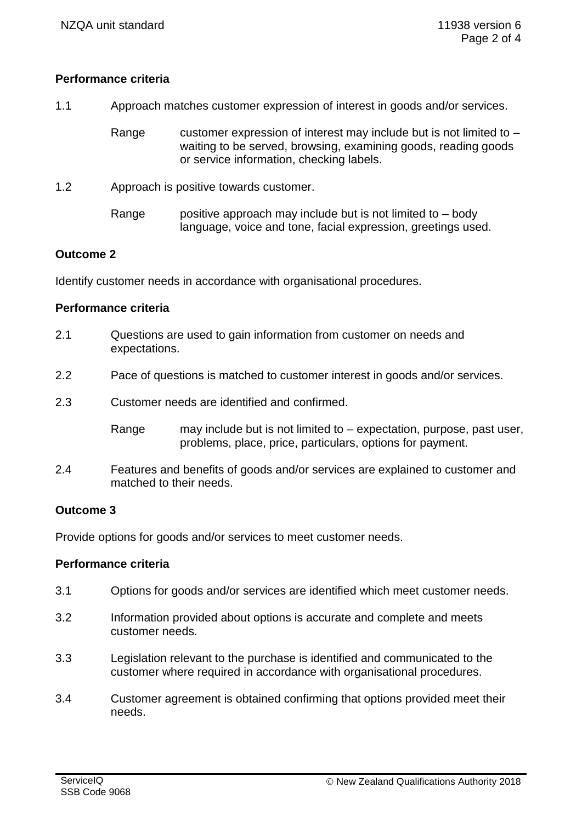## **Performance criteria**

1.1 Approach matches customer expression of interest in goods and/or services.

Range customer expression of interest may include but is not limited to – waiting to be served, browsing, examining goods, reading goods or service information, checking labels.

- 1.2 Approach is positive towards customer.
	- Range spositive approach may include but is not limited to  $-$  body language, voice and tone, facial expression, greetings used.

## **Outcome 2**

Identify customer needs in accordance with organisational procedures.

## **Performance criteria**

- 2.1 Questions are used to gain information from customer on needs and expectations.
- 2.2 Pace of questions is matched to customer interest in goods and/or services.
- 2.3 Customer needs are identified and confirmed.

Range may include but is not limited to – expectation, purpose, past user, problems, place, price, particulars, options for payment.

2.4 Features and benefits of goods and/or services are explained to customer and matched to their needs.

## **Outcome 3**

Provide options for goods and/or services to meet customer needs.

## **Performance criteria**

- 3.1 Options for goods and/or services are identified which meet customer needs.
- 3.2 Information provided about options is accurate and complete and meets customer needs.
- 3.3 Legislation relevant to the purchase is identified and communicated to the customer where required in accordance with organisational procedures.
- 3.4 Customer agreement is obtained confirming that options provided meet their needs.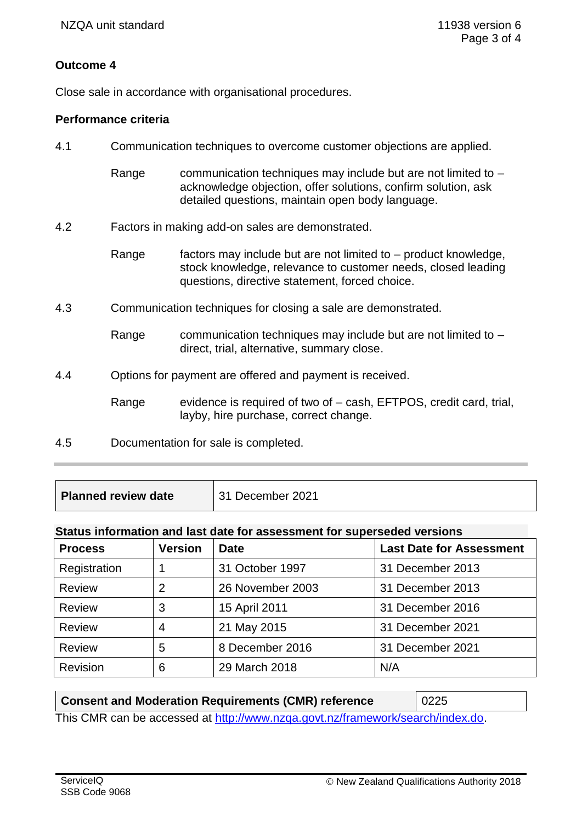# **Outcome 4**

Close sale in accordance with organisational procedures.

## **Performance criteria**

- 4.1 Communication techniques to overcome customer objections are applied.
	- Range communication techniques may include but are not limited to  $$ acknowledge objection, offer solutions, confirm solution, ask detailed questions, maintain open body language.
- 4.2 Factors in making add-on sales are demonstrated.
	- Range factors may include but are not limited to product knowledge, stock knowledge, relevance to customer needs, closed leading questions, directive statement, forced choice.
- 4.3 Communication techniques for closing a sale are demonstrated.
	- Range communication techniques may include but are not limited to  $$ direct, trial, alternative, summary close.
- 4.4 Options for payment are offered and payment is received.

Range evidence is required of two of – cash, EFTPOS, credit card, trial, layby, hire purchase, correct change.

4.5 Documentation for sale is completed.

| <b>Planned review date</b> | 31 December 2021 |
|----------------------------|------------------|
|                            |                  |

#### **Status information and last date for assessment for superseded versions**

| <b>Process</b> | <b>Version</b> | <b>Date</b>      | <b>Last Date for Assessment</b> |
|----------------|----------------|------------------|---------------------------------|
| Registration   |                | 31 October 1997  | 31 December 2013                |
| <b>Review</b>  | 2              | 26 November 2003 | 31 December 2013                |
| <b>Review</b>  | 3              | 15 April 2011    | 31 December 2016                |
| <b>Review</b>  | 4              | 21 May 2015      | 31 December 2021                |
| <b>Review</b>  | 5              | 8 December 2016  | 31 December 2021                |
| Revision       | 6              | 29 March 2018    | N/A                             |

#### **Consent and Moderation Requirements (CMR) reference 10225**

This CMR can be accessed at [http://www.nzqa.govt.nz/framework/search/index.do.](http://www.nzqa.govt.nz/framework/search/index.do)